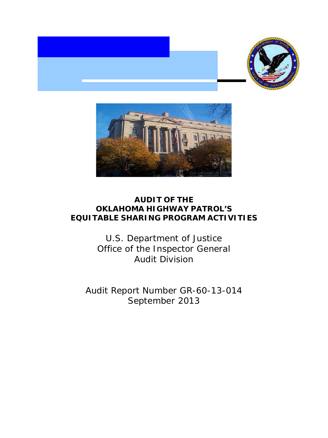



# **AUDIT OF THE OKLAHOMA HIGHWAY PATROL'S EQUITABLE SHARING PROGRAM ACTIVITIES**

 Office of the Inspector General U.S. Department of Justice Audit Division

 Audit Report Number GR-60-13-014 September 2013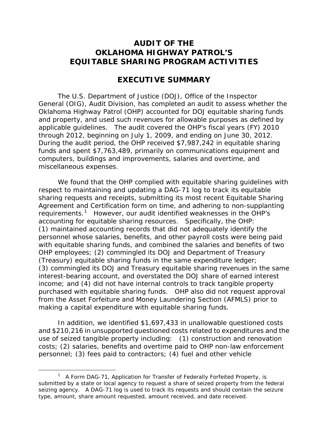## **AUDIT OF THE OKLAHOMA HIGHWAY PATROL'S EQUITABLE SHARING PROGRAM ACTIVITIES**

## **EXECUTIVE SUMMARY**

 applicable guidelines. The audit covered the OHP's fiscal years (FY) 2010 through 2012, beginning on July 1, 2009, and ending on June 30, 2012. miscellaneous expenses. The U.S. Department of Justice (DOJ), Office of the Inspector General (OIG), Audit Division, has completed an audit to assess whether the Oklahoma Highway Patrol (OHP) accounted for DOJ equitable sharing funds and property, and used such revenues for allowable purposes as defined by During the audit period, the OHP received \$7,987,242 in equitable sharing funds and spent \$7,763,489, primarily on communications equipment and computers, buildings and improvements, salaries and overtime, and

requirements.<sup>[1](#page-1-0)</sup> However, our audit identified weaknesses in the OHP's OHP employees; (2) commingled its DOJ and Department of Treasury interest-bearing account, and overstated the DOJ share of earned interest We found that the OHP complied with equitable sharing quidelines with respect to maintaining and updating a DAG-71 log to track its equitable sharing requests and receipts, submitting its most recent Equitable Sharing Agreement and Certification form on time, and adhering to non-supplanting accounting for equitable sharing resources. Specifically, the OHP: (1) maintained accounting records that did not adequately identify the personnel whose salaries, benefits, and other payroll costs were being paid with equitable sharing funds, and combined the salaries and benefits of two (Treasury) equitable sharing funds in the same expenditure ledger; (3) commingled its DOJ and Treasury equitable sharing revenues in the same income; and (4) did not have internal controls to track tangible property purchased with equitable sharing funds. OHP also did not request approval from the Asset Forfeiture and Money Laundering Section (AFMLS) prior to making a capital expenditure with equitable sharing funds.

 use of seized tangible property including: (1) construction and renovation costs; (2) salaries, benefits and overtime paid to OHP non-law enforcement In addition, we identified \$1,697,433 in unallowable questioned costs and \$210,216 in unsupported questioned costs related to expenditures and the personnel; (3) fees paid to contractors; (4) fuel and other vehicle

 $\overline{a}$ 

<span id="page-1-0"></span> $1$  A Form DAG-71, Application for Transfer of Federally Forfeited Property, is submitted by a state or local agency to request a share of seized property from the federal seizing agency. A DAG-71 log is used to track its requests and should contain the seizure type, amount, share amount requested, amount received, and date received.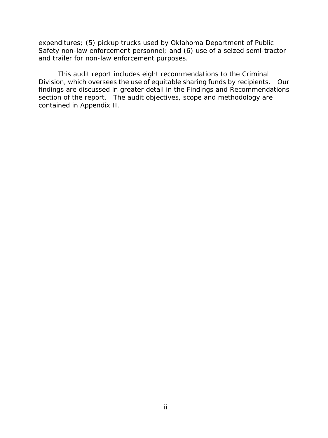and trailer for non-law enforcement purposes. expenditures; (5) pickup trucks used by Oklahoma Department of Public Safety non-law enforcement personnel; and (6) use of a seized semi-tractor

 Division, which oversees the use of equitable sharing funds by recipients. Our section of the report. The audit objectives, scope and methodology are This audit report includes eight recommendations to the Criminal findings are discussed in greater detail in the Findings and Recommendations contained in Appendix II.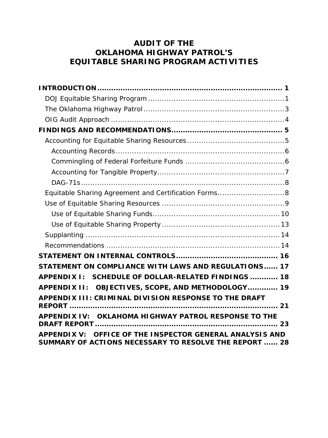# **AUDIT OF THE OKLAHOMA HIGHWAY PATROL'S EQUITABLE SHARING PROGRAM ACTIVITIES**

| Equitable Sharing Agreement and Certification Forms8                                                               |
|--------------------------------------------------------------------------------------------------------------------|
|                                                                                                                    |
|                                                                                                                    |
|                                                                                                                    |
|                                                                                                                    |
|                                                                                                                    |
|                                                                                                                    |
| STATEMENT ON COMPLIANCE WITH LAWS AND REGULATIONS 17                                                               |
| APPENDIX I: SCHEDULE OF DOLLAR-RELATED FINDINGS  18                                                                |
| APPENDIX II: OBJECTIVES, SCOPE, AND METHODOLOGY 19                                                                 |
| APPENDIX III: CRIMINAL DIVISION RESPONSE TO THE DRAFT                                                              |
|                                                                                                                    |
| APPENDIX IV: OKLAHOMA HIGHWAY PATROL RESPONSE TO THE                                                               |
| APPENDIX V: OFFICE OF THE INSPECTOR GENERAL ANALYSIS AND<br>SUMMARY OF ACTIONS NECESSARY TO RESOLVE THE REPORT  28 |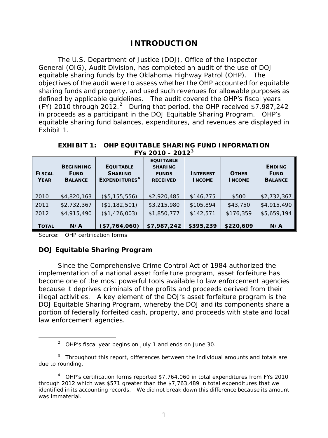# **INTRODUCTION**

<span id="page-4-0"></span> equitable sharing funds by the Oklahoma Highway Patrol (OHP). The defined by applicable guidelines. The audit covered the OHP's fiscal years (FY) 2010 through 2012. [2](#page-4-2) During that period, the OHP received \$7,987,242 in proceeds as a participant in the DOJ Equitable Sharing Program. OHP's The U.S. Department of Justice (DOJ), Office of the Inspector General (OIG), Audit Division, has completed an audit of the use of DOJ objectives of the audit were to assess whether the OHP accounted for equitable sharing funds and property, and used such revenues for allowable purposes as equitable sharing fund balances, expenditures, and revenues are displayed in Exhibit 1.

| <b>FISCAL</b><br><b>YEAR</b> | <b>BEGINNING</b><br><b>FUND</b><br><b>BALANCE</b> | <b>EQUITABLE</b><br><b>SHARING</b><br>EXPENDITURES <sup>4</sup> | <b>EQUITABLE</b><br><b>SHARING</b><br><b>FUNDS</b><br><b>RECEIVED</b> | <b>INTEREST</b><br><b>INCOME</b> | <b>OTHER</b><br><b>INCOME</b> | <b>ENDING</b><br><b>FUND</b><br><b>BALANCE</b> |
|------------------------------|---------------------------------------------------|-----------------------------------------------------------------|-----------------------------------------------------------------------|----------------------------------|-------------------------------|------------------------------------------------|
| 2010                         | \$4,820,163                                       | (\$5, 155, 556)                                                 | \$2,920,485                                                           | \$146,775                        | \$500                         | \$2,732,367                                    |
| 2011<br>2012                 | \$2,732,367<br>\$4,915,490                        | (\$1,182,501)<br>(\$1,426,003)                                  | \$3,215,980<br>\$1,850,777                                            | \$105,894<br>\$142,571           | \$43,750<br>\$176,359         | \$4,915,490<br>\$5,659,194                     |
| Τοτal                        | N/A                                               | (\$7,764,060)                                                   | \$7,987,242                                                           | \$395,239                        | \$220,609                     | N/A                                            |

 **EXHIBIT 1: OHP EQUITABLE SHARING FUND INFORMATION FYs 2010 - 2012[3](#page-4-3)** 

Source: OHP certification forms

<span id="page-4-2"></span> $\overline{a}$ 

## <span id="page-4-1"></span>**DOJ Equitable Sharing Program**

law enforcement agencies. law enforcement agencies.<br>
<u>2 OHP's fiscal year begins on July 1</u> and ends on June 30. Since the Comprehensive Crime Control Act of 1984 authorized the implementation of a national asset forfeiture program, asset forfeiture has become one of the most powerful tools available to law enforcement agencies because it deprives criminals of the profits and proceeds derived from their illegal activities. A key element of the DOJ's asset forfeiture program is the DOJ Equitable Sharing Program, whereby the DOJ and its components share a portion of federally forfeited cash, property, and proceeds with state and local

<span id="page-4-3"></span> $3$  Throughout this report, differences between the individual amounts and totals are due to rounding.

<span id="page-4-4"></span> $4$  OHP's certification forms reported \$7,764,060 in total expenditures from FYs 2010 through 2012 which was \$571 greater than the \$7,763,489 in total expenditures that we identified in its accounting records. We did not break down this difference because its amount was immaterial was immaterial.<br>1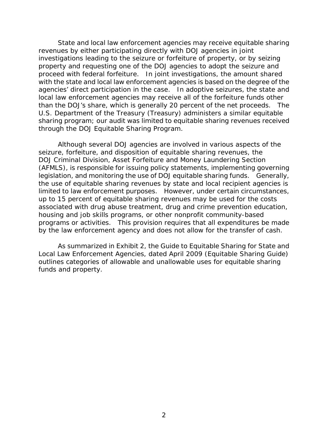property and requesting one of the DOJ agencies to adopt the seizure and agencies' direct participation in the case. In adoptive seizures, the state and local law enforcement agencies may receive all of the forfeiture funds other than the DOJ's share, which is generally 20 percent of the net proceeds. The State and local law enforcement agencies may receive equitable sharing revenues by either participating directly with DOJ agencies in joint investigations leading to the seizure or forfeiture of property, or by seizing proceed with federal forfeiture. In joint investigations, the amount shared with the state and local law enforcement agencies is based on the degree of the U.S. Department of the Treasury (Treasury) administers a similar equitable sharing program; our audit was limited to equitable sharing revenues received through the DOJ Equitable Sharing Program.

by the law enforcement agency and does not allow for the transfer of cash. Although several DOJ agencies are involved in various aspects of the seizure, forfeiture, and disposition of equitable sharing revenues, the DOJ Criminal Division, Asset Forfeiture and Money Laundering Section (AFMLS), is responsible for issuing policy statements, implementing governing legislation, and monitoring the use of DOJ equitable sharing funds. Generally, the use of equitable sharing revenues by state and local recipient agencies is limited to law enforcement purposes. However, under certain circumstances, up to 15 percent of equitable sharing revenues may be used for the costs associated with drug abuse treatment, drug and crime prevention education, housing and job skills programs, or other nonprofit community-based programs or activities. This provision requires that all expenditures be made

As summarized in Exhibit 2, the Guide to Equitable Sharing for State and Local Law Enforcement Agencies, dated April 2009 (Equitable Sharing Guide) outlines categories of allowable and unallowable uses for equitable sharing funds and property.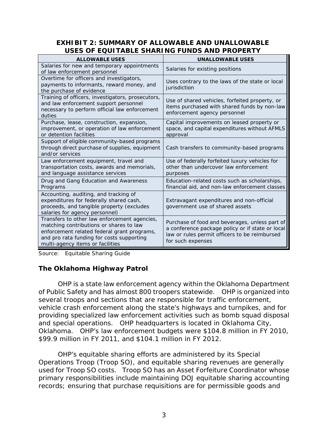### **EXHIBIT 2: SUMMARY OF ALLOWABLE AND UNALLOWABLE USES OF EQUITABLE SHARING FUNDS AND PROPERTY**

| <b>ALLOWABLE USES</b>                                                                                                                                                                                                   | <b>UNALLOWABLE USES</b>                                                                                                                                                  |
|-------------------------------------------------------------------------------------------------------------------------------------------------------------------------------------------------------------------------|--------------------------------------------------------------------------------------------------------------------------------------------------------------------------|
| Salaries for new and temporary appointments<br>of law enforcement personnel                                                                                                                                             | Salaries for existing positions                                                                                                                                          |
| Overtime for officers and investigators,<br>payments to informants, reward money, and<br>the purchase of evidence                                                                                                       | Uses contrary to the laws of the state or local<br>jurisdiction                                                                                                          |
| Training of officers, investigators, prosecutors,<br>and law enforcement support personnel<br>necessary to perform official law enforcement<br>duties                                                                   | Use of shared vehicles, forfeited property, or<br>items purchased with shared funds by non-law<br>enforcement agency personnel                                           |
| Purchase, lease, construction, expansion,<br>improvement, or operation of law enforcement<br>or detention facilities                                                                                                    | Capital improvements on leased property or<br>space, and capital expenditures without AFMLS<br>approval                                                                  |
| Support of eligible community-based programs<br>through direct purchase of supplies, equipment<br>and/or services                                                                                                       | Cash transfers to community-based programs                                                                                                                               |
| Law enforcement equipment, travel and<br>transportation costs, awards and memorials,<br>and language assistance services                                                                                                | Use of federally forfeited luxury vehicles for<br>other than undercover law enforcement<br>purposes                                                                      |
| Drug and Gang Education and Awareness<br>Programs                                                                                                                                                                       | Education-related costs such as scholarships,<br>financial aid, and non-law enforcement classes                                                                          |
| Accounting, auditing, and tracking of<br>expenditures for federally shared cash,<br>proceeds, and tangible property (excludes<br>salaries for agency personnel)                                                         | Extravagant expenditures and non-official<br>government use of shared assets                                                                                             |
| Transfers to other law enforcement agencies,<br>matching contributions or shares to law<br>enforcement related federal grant programs,<br>and pro rata funding for costs supporting<br>multi-agency items or facilities | Purchase of food and beverages, unless part of<br>a conference package policy or if state or local<br>law or rules permit officers to be reimbursed<br>for such expenses |

Source: Equitable Sharing Guide

## <span id="page-6-0"></span>**The Oklahoma Highway Patrol**

 OHP is a state law enforcement agency within the Oklahoma Department and special operations. OHP headquarters is located in Oklahoma City, \$99.9 million in FY 2011, and \$104.1 million in FY 2012. of Public Safety and has almost 800 troopers statewide. OHP is organized into several troops and sections that are responsible for traffic enforcement, vehicle crash enforcement along the state's highways and turnpikes, and for providing specialized law enforcement activities such as bomb squad disposal Oklahoma. OHP's law enforcement budgets were \$104.8 million in FY 2010,

 used for Troop SO costs. Troop SO has an Asset Forfeiture Coordinator whose OHP's equitable sharing efforts are administered by its Special Operations Troop (Troop SO), and equitable sharing revenues are generally primary responsibilities include maintaining DOJ equitable sharing accounting records; ensuring that purchase requisitions are for permissible goods and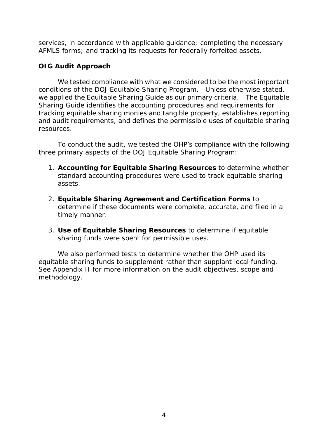AFMLS forms; and tracking its requests for federally forfeited assets. services, in accordance with applicable guidance; completing the necessary

## <span id="page-7-0"></span>**OIG Audit Approach**

 we applied the Equitable Sharing Guide as our primary criteria. The Equitable We tested compliance with what we considered to be the most important conditions of the DOJ Equitable Sharing Program. Unless otherwise stated, Sharing Guide identifies the accounting procedures and requirements for tracking equitable sharing monies and tangible property, establishes reporting and audit requirements, and defines the permissible uses of equitable sharing resources.

To conduct the audit, we tested the OHP's compliance with the following three primary aspects of the DOJ Equitable Sharing Program:

- 1. **Accounting for Equitable Sharing Resources** to determine whether standard accounting procedures were used to track equitable sharing assets.
- determine if these documents were complete, accurate, and filed in a timely manner. 2. **Equitable Sharing Agreement and Certification Forms** to
- 3. **Use of Equitable Sharing Resources** to determine if equitable sharing funds were spent for permissible uses.

equitable sharing funds to supplement rather than supplant local funding. We also performed tests to determine whether the OHP used its See Appendix II for more information on the audit objectives, scope and methodology.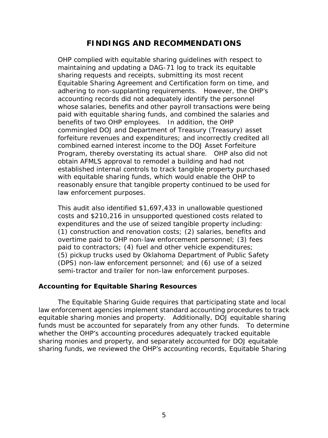## **FINDINGS AND RECOMMENDATIONS**

<span id="page-8-0"></span> maintaining and updating a DAG-71 log to track its equitable combined earned interest income to the DOJ Asset Forfeiture law enforcement purposes. OHP complied with equitable sharing guidelines with respect to sharing requests and receipts, submitting its most recent Equitable Sharing Agreement and Certification form on time, and adhering to non-supplanting requirements. However, the OHP's accounting records did not adequately identify the personnel whose salaries, benefits and other payroll transactions were being paid with equitable sharing funds, and combined the salaries and benefits of two OHP employees. In addition, the OHP commingled DOJ and Department of Treasury (Treasury) asset forfeiture revenues and expenditures; and incorrectly credited all Program, thereby overstating its actual share. OHP also did not obtain AFMLS approval to remodel a building and had not established internal controls to track tangible property purchased with equitable sharing funds, which would enable the OHP to reasonably ensure that tangible property continued to be used for

expenditures and the use of seized tangible property including: paid to contractors; (4) fuel and other vehicle expenditures; (5) pickup trucks used by Oklahoma Department of Public Safety semi-tractor and trailer for non-law enforcement purposes. This audit also identified \$1,697,433 in unallowable questioned costs and \$210,216 in unsupported questioned costs related to (1) construction and renovation costs; (2) salaries, benefits and overtime paid to OHP non-law enforcement personnel; (3) fees (DPS) non-law enforcement personnel; and (6) use of a seized

### <span id="page-8-1"></span>**Accounting for Equitable Sharing Resources**

 equitable sharing monies and property. Additionally, DOJ equitable sharing funds must be accounted for separately from any other funds. To determine The Equitable Sharing Guide requires that participating state and local law enforcement agencies implement standard accounting procedures to track whether the OHP's accounting procedures adequately tracked equitable sharing monies and property, and separately accounted for DOJ equitable sharing funds, we reviewed the OHP's accounting records, Equitable Sharing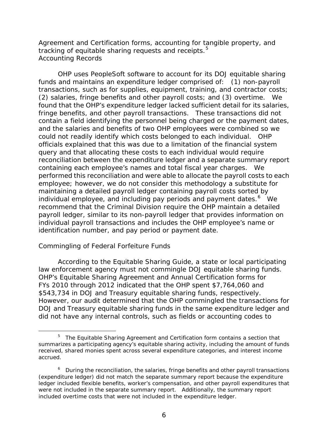<span id="page-9-0"></span>Agreement and Certification forms, accounting for tangible property, and tracking of equitable sharing requests and receipts.<sup>5</sup> *Accounting Records* 

 found that the OHP's expenditure ledger lacked sufficient detail for its salaries, and the salaries and benefits of two OHP employees were combined so we could not readily identify which costs belonged to each individual. OHP officials explained that this was due to a limitation of the financial system reconciliation between the expenditure ledger and a separate summary report employee; however, we do not consider this methodology a substitute for individual employee, and including pay periods and payment dates.<sup>[6](#page-9-3)</sup> We recommend that the Criminal Division require the OHP maintain a detailed individual payroll transactions and includes the OHP employee's name or OHP uses PeopleSoft software to account for its DOJ equitable sharing funds and maintains an expenditure ledger comprised of: (1) non-payroll transactions, such as for supplies, equipment, training, and contractor costs; (2) salaries, fringe benefits and other payroll costs; and (3) overtime. We fringe benefits, and other payroll transactions. These transactions did not contain a field identifying the personnel being charged or the payment dates, query and that allocating these costs to each individual would require containing each employee's names and total fiscal year charges. We performed this reconciliation and were able to allocate the payroll costs to each maintaining a detailed payroll ledger containing payroll costs sorted by payroll ledger, similar to its non-payroll ledger that provides information on identification number, and pay period or payment date.

### <span id="page-9-1"></span>*Commingling of Federal Forfeiture Funds*

 According to the Equitable Sharing Guide, a state or local participating FYs 2010 through 2012 indicated that the OHP spent \$7,764,060 and \$543,734 in DOJ and Treasury equitable sharing funds, respectively. law enforcement agency must not commingle DOJ equitable sharing funds. OHP's Equitable Sharing Agreement and Annual Certification forms for However, our audit determined that the OHP commingled the transactions for DOJ and Treasury equitable sharing funds in the same expenditure ledger and did not have any internal controls, such as fields or accounting codes to

<span id="page-9-2"></span>l  $5$  The Equitable Sharing Agreement and Certification form contains a section that summarizes a participating agency's equitable sharing activity, including the amount of funds received, shared monies spent across several expenditure categories, and interest income accrued.

<span id="page-9-3"></span> $6$  During the reconciliation, the salaries, fringe benefits and other payroll transactions (expenditure ledger) did not match the separate summary report because the expenditure ledger included flexible benefits, worker's compensation, and other payroll expenditures that were not included in the separate summary report. Additionally, the summary report included overtime costs that were not included in the expenditure ledger.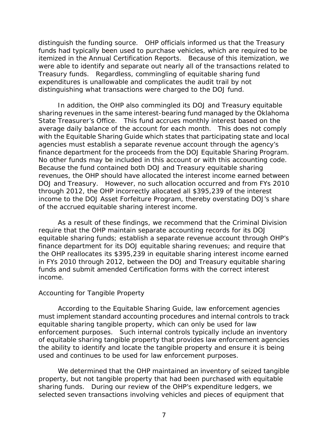were able to identify and separate out nearly all of the transactions related to Treasury funds. Regardless, commingling of equitable sharing fund distinguish the funding source. OHP officials informed us that the Treasury funds had typically been used to purchase vehicles, which are required to be itemized in the Annual Certification Reports. Because of this itemization, we expenditures is unallowable and complicates the audit trail by not distinguishing what transactions were charged to the DOJ fund.

 average daily balance of the account for each month. This does not comply finance department for the proceeds from the DOJ Equitable Sharing Program. DOJ and Treasury. However, no such allocation occurred and from FYs 2010 of the accrued equitable sharing interest income. In addition, the OHP also commingled its DOJ and Treasury equitable sharing revenues in the same interest-bearing fund managed by the Oklahoma State Treasurer's Office. This fund accrues monthly interest based on the with the Equitable Sharing Guide which states that participating state and local agencies must establish a separate revenue account through the agency's finance department for the proceeds from the DOJ Equitable Sharing Program.<br>No other funds may be included in this account or with this accounting code.<br>Because the fund contained both DOJ and Treasury equitable sharing revenues, the OHP should have allocated the interest income earned between through 2012, the OHP incorrectly allocated all \$395,239 of the interest income to the DOJ Asset Forfeiture Program, thereby overstating DOJ's share

 As a result of these findings, we recommend that the Criminal Division require that the OHP maintain separate accounting records for its DOJ equitable sharing funds; establish a separate revenue account through OHP's finance department for its DOJ equitable sharing revenues; and require that the OHP reallocates its \$395,239 in equitable sharing interest income earned in FYs 2010 through 2012, between the DOJ and Treasury equitable sharing funds and submit amended Certification forms with the correct interest income.

### <span id="page-10-0"></span>*Accounting for Tangible Property*

 According to the Equitable Sharing Guide, law enforcement agencies the ability to identify and locate the tangible property and ensure it is being used and continues to be used for law enforcement purposes. must implement standard accounting procedures and internal controls to track equitable sharing tangible property, which can only be used for law enforcement purposes. Such internal controls typically include an inventory of equitable sharing tangible property that provides law enforcement agencies

 used and continues to be used for law enforcement purposes. We determined that the OHP maintained an inventory of *seized* tangible selected seven transactions involving vehicles and pieces of equipment that property, but not tangible property that had been *purchased* with equitable sharing funds. During our review of the OHP's expenditure ledgers, we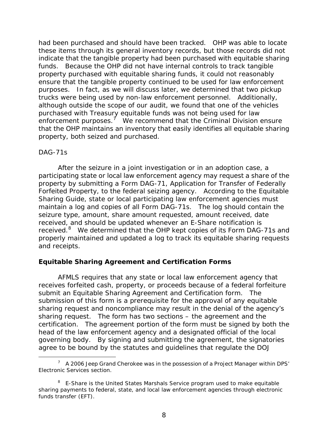had been purchased and should have been tracked. OHP was able to locate these items through its general inventory records, but those records did not funds. Because the OHP did not have internal controls to track tangible purposes. In fact, as we will discuss later, we determined that two pickup trucks were being used by non-law enforcement personnel. Additionally, enforcement purposes.<sup>7</sup> We recommend that the Criminal Division ensure indicate that the tangible property had been purchased with equitable sharing property purchased with equitable sharing funds, it could not reasonably ensure that the tangible property continued to be used for law enforcement although outside the scope of our audit, we found that one of the vehicles purchased with Treasury equitable funds was not being used for law that the OHP maintains an inventory that easily identifies all equitable sharing property, both seized and purchased.

#### <span id="page-11-0"></span>*DAG-71s*

 participating state or local law enforcement agency may request a share of the received, and should be updated whenever an E-Share notification is received.<sup>8</sup> We determined that the OHP kept copies of its Form DAG-71s and After the seizure in a joint investigation or in an adoption case, a property by submitting a Form DAG-71, Application for Transfer of Federally Forfeited Property, to the federal seizing agency. According to the Equitable Sharing Guide, state or local participating law enforcement agencies must maintain a log and copies of all Form DAG-71s. The log should contain the seizure type, amount, share amount requested, amount received, date properly maintained and updated a log to track its equitable sharing requests and receipts.

### <span id="page-11-1"></span> **Equitable Sharing Agreement and Certification Forms**

 certification. The agreement portion of the form must be signed by both the head of the law enforcement agency and a designated official of the local AFMLS requires that any state or local law enforcement agency that receives forfeited cash, property, or proceeds because of a federal forfeiture submit an Equitable Sharing Agreement and Certification form. The submission of this form is a prerequisite for the approval of any equitable sharing request and noncompliance may result in the denial of the agency's sharing request. The form has two sections – the agreement and the governing body. By signing and submitting the agreement, the signatories agree to be bound by the statutes and guidelines that regulate the DOJ

<span id="page-11-2"></span> $\overline{a}$  $^7$  A 2006 Jeep Grand Cherokee was in the possession of a Project Manager within DPS' Electronic Services section.

<span id="page-11-3"></span> $8$  E-Share is the United States Marshals Service program used to make equitable sharing payments to federal, state, and local law enforcement agencies through electronic funds transfer (EFT).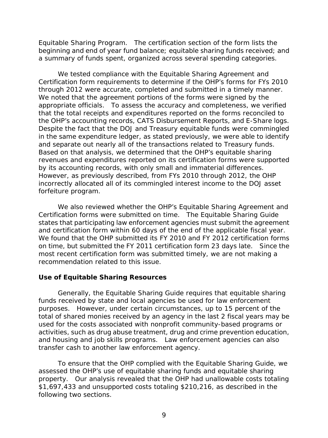Equitable Sharing Program. The certification section of the form lists the beginning and end of year fund balance; equitable sharing funds received; and

 a summary of funds spent, organized across several spending categories. We tested compliance with the Equitable Sharing Agreement and Certification form requirements to determine if the OHP's forms for FYs 2010 through 2012 were accurate, completed and submitted in a timely manner. We noted that the agreement portions of the forms were signed by the appropriate officials. To assess the accuracy and completeness, we verified and separate out nearly all of the transactions related to Treasury funds. by its accounting records, with only small and immaterial differences. forfeiture program. that the total receipts and expenditures reported on the forms reconciled to the OHP's accounting records, CATS Disbursement Reports, and E-Share logs. Despite the fact that the DOJ and Treasury equitable funds were commingled in the same expenditure ledger, as stated previously, we were able to identify Based on that analysis, we determined that the OHP's equitable sharing revenues and expenditures reported on its certification forms were supported However, as previously described, from FYs 2010 through 2012, the OHP incorrectly allocated all of its commingled interest income to the DOJ asset

 Certification forms were submitted on time. The Equitable Sharing Guide and certification form within 60 days of the end of the applicable fiscal year. and certification form within 60 days of the end of the applicable fiscal year.<br>We found that the OHP submitted its FY 2010 and FY 2012 certification forms on time, but submitted the FY 2011 certification form 23 days late. Since the recommendation related to this issue. We also reviewed whether the OHP's Equitable Sharing Agreement and states that participating law enforcement agencies must submit the agreement most recent certification form was submitted timely, we are not making a

### <span id="page-12-0"></span>**Use of Equitable Sharing Resources**

 and housing and job skills programs. Law enforcement agencies can also Generally, the Equitable Sharing Guide requires that equitable sharing funds received by state and local agencies be used for law enforcement purposes. However, under certain circumstances, up to 15 percent of the total of shared monies received by an agency in the last 2 fiscal years may be used for the costs associated with nonprofit community-based programs or activities, such as drug abuse treatment, drug and crime prevention education, transfer cash to another law enforcement agency.

To ensure that the OHP complied with the Equitable Sharing Guide, we assessed the OHP's use of equitable sharing funds and equitable sharing property. Our analysis revealed that the OHP had unallowable costs totaling \$1,697,433 and unsupported costs totaling \$210,216, as described in the following two sections.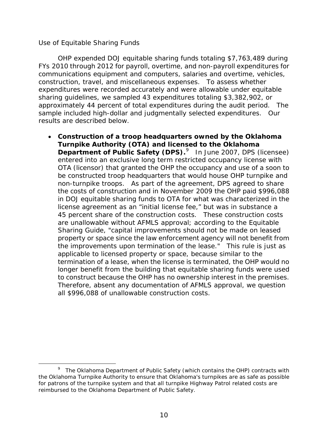### <span id="page-13-0"></span> *Use of Equitable Sharing Funds*

 construction, travel, and miscellaneous expenses. To assess whether approximately 44 percent of total expenditures during the audit period. The sample included high-dollar and judgmentally selected expenditures. Our OHP expended DOJ equitable sharing funds totaling \$7,763,489 during FYs 2010 through 2012 for payroll, overtime, and non-payroll expenditures for communications equipment and computers, salaries and overtime, vehicles, expenditures were recorded accurately and were allowable under equitable sharing guidelines, we sampled 43 expenditures totaling \$3,382,902, or results are described below.

 • **Construction of a troop headquarters owned by the Oklahoma Department of Public Safety (DPS).**<sup>[9](#page-13-1)</sup> In June 2007, DPS (licensee) non-turnpike troops. As part of the agreement, DPS agreed to share in DOJ equitable sharing funds to OTA for what was characterized in the 45 percent share of the construction costs. These construction costs the improvements upon termination of the lease." This rule is just as applicable to licensed property or space, because similar to the to construct because the OHP has no ownership interest in the premises. **Turnpike Authority (OTA) and licensed to the Oklahoma**  entered into an exclusive long term restricted occupancy license with OTA (licensor) that granted the OHP the occupancy and use of a soon to be constructed troop headquarters that would house OHP turnpike and the costs of construction and in November 2009 the OHP paid \$996,088 license agreement as an "initial license fee," but was in substance a are unallowable without AFMLS approval; according to the Equitable Sharing Guide, "capital improvements should not be made on leased property or space since the law enforcement agency will not benefit from termination of a lease, when the license is terminated, the OHP would no longer benefit from the building that equitable sharing funds were used Therefore, absent any documentation of AFMLS approval, we question all \$996,088 of unallowable construction costs.

<span id="page-13-1"></span> $\overline{a}$  $9$  The Oklahoma Department of Public Safety (which contains the OHP) contracts with the Oklahoma Turnpike Authority to ensure that Oklahoma's turnpikes are as safe as possible for patrons of the turnpike system and that all turnpike Highway Patrol related costs are reimbursed to the Oklahoma Department of Public Safety.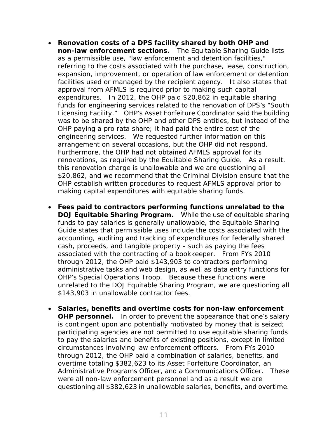- • **Renovation costs of a DPS facility shared by both OHP and non-law enforcement sections.** The Equitable Sharing Guide lists as a permissible use, "law enforcement and detention facilities," facilities used or managed by the recipient agency. It also states that expenditures. In 2012, the OHP paid \$20,862 in equitable sharing Licensing Facility." OHP's Asset Forfeiture Coordinator said the building OHP paying a pro rata share; it had paid the entire cost of the engineering services. We requested further information on this arrangement on several occasions, but the OHP did not respond. making capital expenditures with equitable sharing funds. referring to the costs associated with the purchase, lease, construction, expansion, improvement, or operation of law enforcement or detention approval from AFMLS is required prior to making such capital funds for engineering services related to the renovation of DPS's "South was to be shared by the OHP and other DPS entities, but instead of the Furthermore, the OHP had not obtained AFMLS approval for its renovations, as required by the Equitable Sharing Guide. As a result, this renovation charge is unallowable and we are questioning all \$20,862, and we recommend that the Criminal Division ensure that the OHP establish written procedures to request AFMLS approval prior to
- **DOJ Equitable Sharing Program.** While the use of equitable sharing funds to pay salaries is generally unallowable, the Equitable Sharing cash, proceeds, and tangible property - such as paying the fees associated with the contracting of a bookkeeper. From FYs 2010 administrative tasks and web design, as well as data entry functions for OHP's Special Operations Troop. Because these functions were • **Fees paid to contractors performing functions unrelated to the**  Guide states that permissible uses include the costs associated with the accounting, auditing and tracking of expenditures for federally shared through 2012, the OHP paid \$143,903 to contractors performing unrelated to the DOJ Equitable Sharing Program, we are questioning all \$143,903 in unallowable contractor fees.
- • **Salaries, benefits and overtime costs for non-law enforcement OHP personnel.** In order to prevent the appearance that one's salary overtime totaling \$382,623 to its Asset Forfeiture Coordinator, an is contingent upon and potentially motivated by money that is seized; participating agencies are not permitted to use equitable sharing funds to pay the salaries and benefits of existing positions, except in limited circumstances involving law enforcement officers. From FYs 2010 through 2012, the OHP paid a combination of salaries, benefits, and Administrative Programs Officer, and a Communications Officer. These were all non-law enforcement personnel and as a result we are questioning all \$382,623 in unallowable salaries, benefits, and overtime.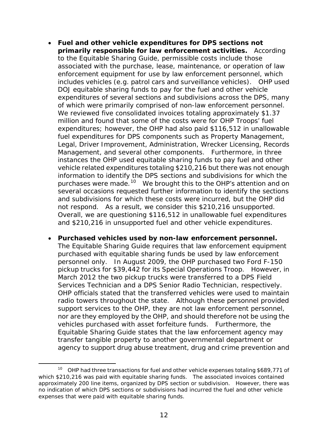- **primarily responsible for law enforcement activities.** According to the Equitable Sharing Guide, permissible costs include those associated with the purchase, lease, maintenance, or operation of law includes vehicles (e.g. patrol cars and surveillance vehicles). OHP used DOJ equitable sharing funds to pay for the fuel and other vehicle fuel expenditures for DPS components such as Property Management, Management, and several other components. Furthermore, in three instances the OHP used equitable sharing funds to pay fuel and other purchases were made.<sup>10</sup> We brought this to the OHP's attention and on several occasions requested further information to identify the sections and subdivisions for which these costs were incurred, but the OHP did not respond. As a result, we consider this \$210,216 unsupported. • **Fuel and other vehicle expenditures for DPS sections not**  enforcement equipment for use by law enforcement personnel, which expenditures of several sections and subdivisions across the DPS, many of which were primarily comprised of non-law enforcement personnel. We reviewed five consolidated invoices totaling approximately \$1.37 million and found that some of the costs were for OHP Troops' fuel expenditures; however, the OHP had also paid \$116,512 in unallowable Legal, Driver Improvement, Administration, Wrecker Licensing, Records vehicle related expenditures totaling \$210,216 but there was not enough information to identify the DPS sections and subdivisions for which the Overall, we are questioning \$116,512 in unallowable fuel expenditures and \$210,216 in unsupported fuel and other vehicle expenditures.
- • **Purchased vehicles used by non-law enforcement personnel.**  pickup trucks for \$39,442 for its Special Operations Troop. However, in support services to the OHP, they are not law enforcement personnel, vehicles purchased with asset forfeiture funds. Furthermore, the The Equitable Sharing Guide requires that law enforcement equipment purchased with equitable sharing funds be used by law enforcement personnel only. In August 2009, the OHP purchased two Ford F-150 March 2012 the two pickup trucks were transferred to a DPS Field Services Technician and a DPS Senior Radio Technician, respectively. OHP officials stated that the transferred vehicles were used to maintain radio towers throughout the state. Although these personnel provided nor are they employed by the OHP, and should therefore not be using the Equitable Sharing Guide states that the law enforcement agency may transfer tangible property to another governmental department or agency to support drug abuse treatment, drug and crime prevention and

<span id="page-15-0"></span>l <sup>10</sup> OHP had three transactions for fuel and other vehicle expenses totaling \$689,771 of which \$210,216 was paid with equitable sharing funds. The associated invoices contained approximately 200 line items, organized by DPS section or subdivision. However, there was no indication of which DPS sections or subdivisions had incurred the fuel and other vehicle expenses that were paid with equitable sharing funds.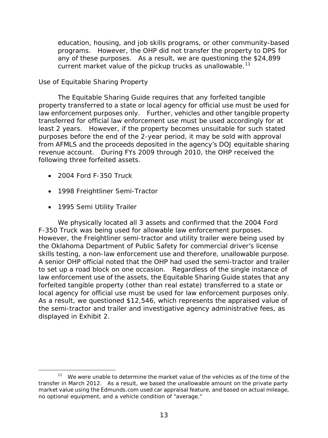programs. However, the OHP did not transfer the property to DPS for any of these purposes. As a result, we are questioning the \$24,899 education, housing, and job skills programs, or other community-based current market value of the pickup trucks as unallowable.<sup>11</sup>

## <span id="page-16-0"></span> *Use of Equitable Sharing Property*

 transferred for official law enforcement use must be used accordingly for at The Equitable Sharing Guide requires that any forfeited tangible property transferred to a state or local agency for official use must be used for law enforcement purposes only. Further, vehicles and other tangible property least 2 years. However, if the property becomes unsuitable for such stated purposes before the end of the 2-year period, it may be sold with approval from AFMLS and the proceeds deposited in the agency's DOJ equitable sharing revenue account. During FYs 2009 through 2010, the OHP received the following three forfeited assets.

- 2004 Ford F-350 Truck
- 1998 Freightliner Semi-Tractor
- 1995 Semi Utility Trailer

F-350 Truck was being used for allowable law enforcement purposes. to set up a road block on one occasion. Regardless of the single instance of local agency for official use must be used for law enforcement purposes only. local agency for official use must be used for law enforcement purposes only.<br>As a result, we questioned \$12,546, which represents the appraised value of displayed in Exhibit 2. We physically located all 3 assets and confirmed that the 2004 Ford However, the Freightliner semi-tractor and utility trailer were being used by the Oklahoma Department of Public Safety for commercial driver's license skills testing, a non-law enforcement use and therefore, unallowable purpose. A senior OHP official noted that the OHP had used the semi-tractor and trailer law enforcement use of the assets, the Equitable Sharing Guide states that any forfeited tangible property (other than real estate) transferred to a state or the semi-tractor and trailer and investigative agency administrative fees, as

<span id="page-16-1"></span><sup>-</sup> $11$  We were unable to determine the market value of the vehicles as of the time of the transfer in March 2012. As a result, we based the unallowable amount on the private party market value using the Edmunds.com used car appraisal feature, and based on actual mileage, no optional equipment, and a vehicle condition of "average."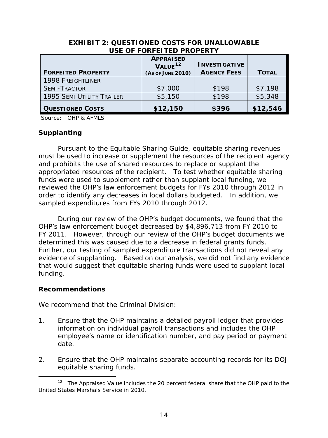| USE OF FORFEITED PROPERTY        |                                                              |                                            |              |
|----------------------------------|--------------------------------------------------------------|--------------------------------------------|--------------|
| <b>FORFEITED PROPERTY</b>        | <b>APPRAISED</b><br>VALUE <sup>12</sup><br>(As of JUNE 2010) | <b>INVESTIGATIVE</b><br><b>AGENCY FEES</b> | <b>TOTAL</b> |
| <b>1998 FREIGHTLINER</b>         |                                                              |                                            |              |
| <b>SEMI-TRACTOR</b>              | \$7,000                                                      | \$198                                      | \$7,198      |
| <b>1995 SEMI UTILITY TRAILER</b> | \$5,150                                                      | \$198                                      | \$5,348      |
| <b>QUESTIONED COSTS</b>          | \$12,150                                                     | \$396                                      | \$12,546     |

#### **EXHIBIT 2: QUESTIONED COSTS FOR UNALLOWABLE USE OF FORFEITED PROPERTY**

Source: OHP & AFMLS

### <span id="page-17-0"></span>**Supplanting**

 appropriated resources of the recipient. To test whether equitable sharing Pursuant to the Equitable Sharing Guide, equitable sharing revenues must be used to increase or supplement the resources of the recipient agency and prohibits the use of shared resources to replace or supplant the funds were used to supplement rather than supplant local funding, we reviewed the OHP's law enforcement budgets for FYs 2010 through 2012 in order to identify any decreases in local dollars budgeted. In addition, we sampled expenditures from FYs 2010 through 2012.

 FY 2011. However, through our review of the OHP's budget documents we determined this was caused due to a decrease in federal grants funds. evidence of supplanting. Based on our analysis, we did not find any evidence During our review of the OHP's budget documents, we found that the OHP's law enforcement budget decreased by \$4,896,713 from FY 2010 to Further, our testing of sampled expenditure transactions did not reveal any that would suggest that equitable sharing funds were used to supplant local funding.

### <span id="page-17-1"></span>**Recommendations**

We recommend that the Criminal Division:

- 1. Ensure that the OHP maintains a detailed payroll ledger that provides information on individual payroll transactions and includes the OHP employee's name or identification number, and pay period or payment date.
- 2. Ensure that the OHP maintains separate accounting records for its DOJ equitable sharing funds.

<span id="page-17-2"></span> $\overline{a}$ <sup>12</sup> The Appraised Value includes the 20 percent federal share that the OHP paid to the United States Marshals Service in 2010.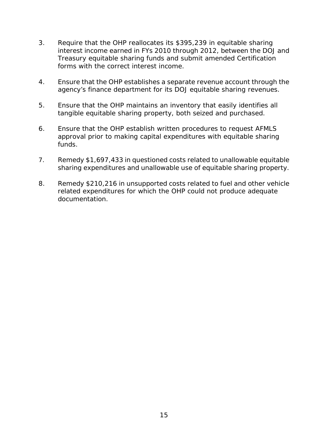- interest income earned in FYs 2010 through 2012, between the DOJ and Treasury equitable sharing funds and submit amended Certification 3. Require that the OHP reallocates its \$395,239 in equitable sharing forms with the correct interest income.
- 4. Ensure that the OHP establishes a separate revenue account through the agency's finance department for its DOJ equitable sharing revenues.
- 5. Ensure that the OHP maintains an inventory that easily identifies all tangible equitable sharing property, both seized and purchased.
- 6. Ensure that the OHP establish written procedures to request AFMLS approval prior to making capital expenditures with equitable sharing funds.
- 7. Remedy \$1,697,433 in questioned costs related to unallowable equitable sharing expenditures and unallowable use of equitable sharing property.
- related expenditures for which the OHP could not produce adequate 8. Remedy \$210,216 in unsupported costs related to fuel and other vehicle documentation.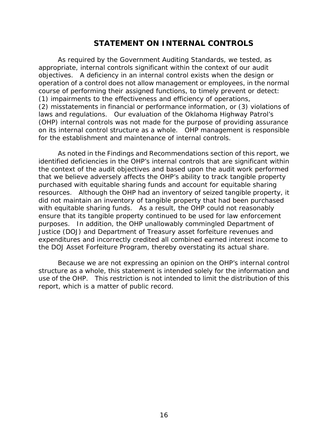## **STATEMENT ON INTERNAL CONTROLS**

<span id="page-19-0"></span> As required by the *Government Auditing Standards*, we tested, as course of performing their assigned functions, to timely prevent or detect:<br>(1) impairments to the effectiveness and efficiency of operations, laws and regulations. Our evaluation of the Oklahoma Highway Patrol's on its internal control structure as a whole. OHP management is responsible appropriate, internal controls significant within the context of our audit objectives. A deficiency in an internal control exists when the design or operation of a control does not allow management or employees, in the normal (2) misstatements in financial or performance information, or (3) violations of (OHP) internal controls was *not* made for the purpose of providing assurance for the establishment and maintenance of internal controls.

 identified deficiencies in the OHP's internal controls that are significant within that we believe adversely affects the OHP's ability to track tangible property purposes. In addition, the OHP unallowably commingled Department of As noted in the Findings and Recommendations section of this report, we the context of the audit objectives and based upon the audit work performed purchased with equitable sharing funds and account for equitable sharing resources. Although the OHP had an inventory of *seized* tangible property, it did not maintain an inventory of tangible property that had been *purchased*  with equitable sharing funds. As a result, the OHP could not reasonably ensure that its tangible property continued to be used for law enforcement Justice (DOJ) and Department of Treasury asset forfeiture revenues and expenditures and incorrectly credited all combined earned interest income to the DOJ Asset Forfeiture Program, thereby overstating its actual share.

 structure as a whole, this statement is intended solely for the information and use of the OHP. This restriction is not intended to limit the distribution of this Because we are not expressing an opinion on the OHP's internal control report, which is a matter of public record.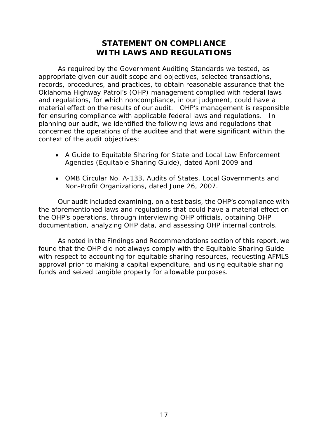# **STATEMENT ON COMPLIANCE WITH LAWS AND REGULATIONS**

<span id="page-20-0"></span> As required by the *Government Auditing Standards* we tested, as for ensuring compliance with applicable federal laws and regulations. In concerned the operations of the auditee and that were significant within the appropriate given our audit scope and objectives, selected transactions, records, procedures, and practices, to obtain reasonable assurance that the Oklahoma Highway Patrol's (OHP) management complied with federal laws and regulations, for which noncompliance, in our judgment, could have a material effect on the results of our audit. OHP's management is responsible planning our audit, we identified the following laws and regulations that context of the audit objectives:

- • *A Guide to Equitable Sharing for State and Local Law Enforcement Agencies* (Equitable Sharing Guide), dated April 2009 and
- *Non-Profit Organizations*, dated June 26, 2007. • *OMB Circular No. A-133*, *Audits of States, Local Governments and*

Our audit included examining, on a test basis, the OHP's compliance with the aforementioned laws and regulations that could have a material effect on the OHP's operations, through interviewing OHP officials, obtaining OHP

documentation, analyzing OHP data, and assessing OHP internal controls.<br>As noted in the Findings and Recommendations section of this report, we found that the OHP did not always comply with the Equitable Sharing Guide with respect to accounting for equitable sharing resources, requesting AFMLS approval prior to making a capital expenditure, and using equitable sharing funds and seized tangible property for allowable purposes.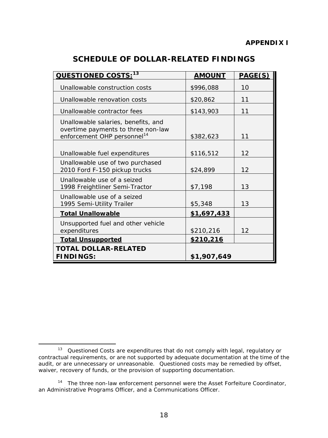<span id="page-21-0"></span>

| QUESTIONED COSTS: <sup>13</sup>                                                                                      | <b>AMOUNT</b> | PAGE(S) |
|----------------------------------------------------------------------------------------------------------------------|---------------|---------|
| Unallowable construction costs                                                                                       | \$996,088     | 10      |
| Unallowable renovation costs                                                                                         | \$20,862      | 11      |
| Unallowable contractor fees                                                                                          | \$143,903     | 11      |
| Unallowable salaries, benefits, and<br>overtime payments to three non-law<br>enforcement OHP personnel <sup>14</sup> | \$382,623     | 11      |
| Unallowable fuel expenditures                                                                                        | \$116,512     | 12      |
| Unallowable use of two purchased<br>2010 Ford F-150 pickup trucks                                                    | \$24,899      | 12      |
| Unallowable use of a seized<br>1998 Freightliner Semi-Tractor                                                        | \$7,198       | 13      |
| Unallowable use of a seized<br>1995 Semi-Utility Trailer                                                             | \$5,348       | 13      |
| <u>Total Unallowable</u>                                                                                             | \$1,697,433   |         |
| Unsupported fuel and other vehicle<br>expenditures                                                                   | \$210,216     | 12      |
| <u>Total Unsupported</u>                                                                                             | \$210,216     |         |
| <b>TOTAL DOLLAR-RELATED</b><br><b>FINDINGS:</b>                                                                      | \$1,907,649   |         |

<span id="page-21-1"></span>l <sup>13</sup> Questioned Costs are expenditures that do not comply with legal, regulatory or contractual requirements, or are not supported by adequate documentation at the time of the audit, or are unnecessary or unreasonable. Questioned costs may be remedied by offset, waiver, recovery of funds, or the provision of supporting documentation.

<span id="page-21-2"></span><sup>&</sup>lt;sup>14</sup> The three non-law enforcement personnel were the Asset Forfeiture Coordinator, an Administrative Programs Officer, and a Communications Officer.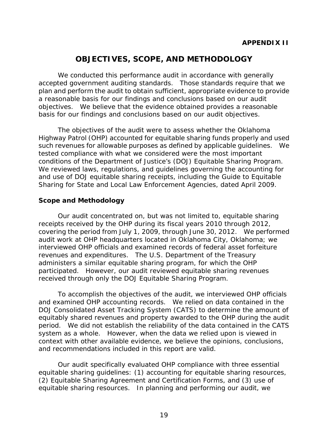# **OBJECTIVES, SCOPE, AND METHODOLOGY**

<span id="page-22-0"></span>We conducted this performance audit in accordance with generally accepted government auditing standards. Those standards require that we plan and perform the audit to obtain sufficient, appropriate evidence to provide a reasonable basis for our findings and conclusions based on our audit objectives. We believe that the evidence obtained provides a reasonable basis for our findings and conclusions based on our audit objectives.

 such revenues for allowable purposes as defined by applicable guidelines. We conditions of the Department of Justice's (DOJ) Equitable Sharing Program. The objectives of the audit were to assess whether the Oklahoma Highway Patrol (OHP) accounted for equitable sharing funds properly and used tested compliance with what we considered were the most important We reviewed laws, regulations, and guidelines governing the accounting for and use of DOJ equitable sharing receipts, including the Guide to Equitable Sharing for State and Local Law Enforcement Agencies, dated April 2009.

### **Scope and Methodology**

 receipts received by the OHP during its fiscal years 2010 through 2012, covering the period from July 1, 2009, through June 30, 2012. We performed revenues and expenditures. The U.S. Department of the Treasury Our audit concentrated on, but was not limited to, equitable sharing audit work at OHP headquarters located in Oklahoma City, Oklahoma; we interviewed OHP officials and examined records of federal asset forfeiture administers a similar equitable sharing program, for which the OHP participated. However, our audit reviewed equitable sharing revenues received through only the DOJ Equitable Sharing Program.

 period. We did not establish the reliability of the data contained in the CATS system as a whole. However, when the data we relied upon is viewed in To accomplish the objectives of the audit, we interviewed OHP officials and examined OHP accounting records. We relied on data contained in the DOJ Consolidated Asset Tracking System (CATS) to determine the amount of equitably shared revenues and property awarded to the OHP during the audit context with other available evidence, we believe the opinions, conclusions, and recommendations included in this report are valid.

Our audit specifically evaluated OHP compliance with three essential equitable sharing guidelines: (1) accounting for equitable sharing resources, (2) Equitable Sharing Agreement and Certification Forms, and (3) use of equitable sharing resources. In planning and performing our audit, we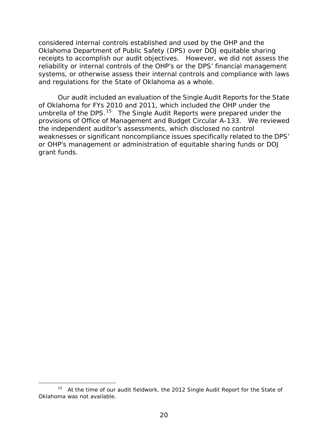receipts to accomplish our audit objectives. However, we did not assess the systems, or otherwise assess their internal controls and compliance with laws considered internal controls established and used by the OHP and the Oklahoma Department of Public Safety (DPS) over DOJ equitable sharing reliability or internal controls of the OHP's or the DPS' financial management and regulations for the State of Oklahoma as a whole.

 of Oklahoma for FYs 2010 and 2011, which included the OHP under the umbrella of the DPS.<sup>[15](#page-23-0)</sup> The Single Audit Reports were prepared under the provisions of Office of Management and Budget Circular A-133. We reviewed the independent auditor's assessments, which disclosed no control weaknesses or significant noncompliance issues specifically related to the DPS' Our audit included an evaluation of the Single Audit Reports for the State or OHP's management or administration of equitable sharing funds or DOJ grant funds.

-

<span id="page-23-0"></span> $15$  At the time of our audit fieldwork, the 2012 Single Audit Report for the State of Oklahoma was not available.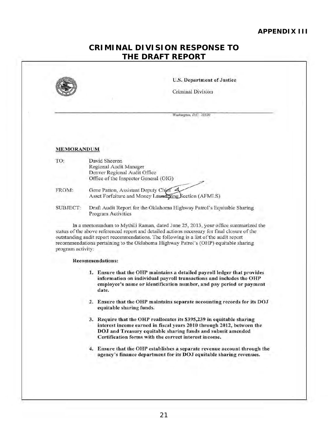#### **APPENDIX III**

H

## **CRIMINAL DIVISION RESPONSE TO THE DRAFT REPORT**

<span id="page-24-1"></span><span id="page-24-0"></span>

|                   | <b>U.S. Department of Justice</b>                                                                                                                                                                                                                                                                                                                                  |
|-------------------|--------------------------------------------------------------------------------------------------------------------------------------------------------------------------------------------------------------------------------------------------------------------------------------------------------------------------------------------------------------------|
|                   | Criminal Division                                                                                                                                                                                                                                                                                                                                                  |
|                   | Washington, D.C. 20530                                                                                                                                                                                                                                                                                                                                             |
|                   |                                                                                                                                                                                                                                                                                                                                                                    |
| <b>MEMORANDUM</b> |                                                                                                                                                                                                                                                                                                                                                                    |
| TO:               | David Sheeren<br>Regional Audit Manager<br>Denver Regional Audit Office<br>Office of the Inspector General (OIG)                                                                                                                                                                                                                                                   |
| FROM:             | Gene Patton, Assistant Deputy Chief<br>Asset Forfeiture and Money Laundering Section (AFMLS)                                                                                                                                                                                                                                                                       |
| <b>SUBJECT:</b>   | Draft Audit Report for the Oklahoma Highway Patrol's Equitable Sharing<br>Program Activities                                                                                                                                                                                                                                                                       |
| program activity: | In a memorandum to Mythili Raman, dated June 25, 2013, your office summarized the<br>status of the above referenced report and detailed actions necessary for final closure of the<br>outstanding audit report recommendations. The following is a list of the audit report<br>recommendations pertaining to the Oklahoma Highway Patrol's (OHP) equitable sharing |
|                   | <b>Recommendations:</b>                                                                                                                                                                                                                                                                                                                                            |
|                   | 1. Ensure that the OHP maintains a detailed payroll ledger that provides<br>information on individual payroll transactions and includes the OHP<br>employee's name or identification number, and pay period or payment<br>date.                                                                                                                                    |
|                   | 2. Ensure that the OHP maintains separate accounting records for its DOJ<br>equitable sharing funds.                                                                                                                                                                                                                                                               |
|                   | 3. Require that the OHP reallocates its \$395,239 in equitable sharing<br>interest income earned in fiscal years 2010 through 2012, between the<br>DOJ and Treasury equitable sharing funds and submit amended<br>Certification forms with the correct interest income.                                                                                            |
|                   |                                                                                                                                                                                                                                                                                                                                                                    |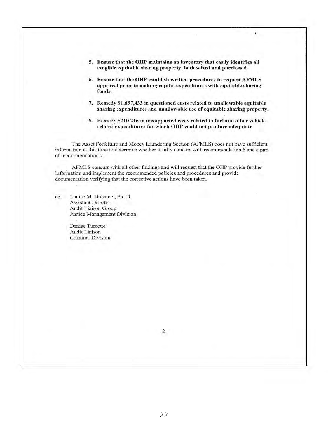5. Ensure that the OHP maintains an inventory that easily identifies all tangible equitable sharing property. both seized and purchased.

¥

- 6. Ensure that the OHP estahlish written procedures to request AFMLS approval prior to making capital expenditures with equitable sharing funds.
- 7. Remedy \$1 .697,433 in questioned costs related to unallowable equitable sharing expenditures and unallowable use of equitable sharing property.
- 8. Remedy \$210,216 in unsupported costs related to fuel and other vehicle related expenditures for which OHP could not produce adcqutatc

The Asset Forfeiture and Money Laundering Section (AFMLS) does not have sufficient information at this time to determine whether it fully concurs with recommendation 6 and a part of recommendation 7.

AFMLS concurs with all other findings and will request that the OHP provide further information and implement the recommended policies and procedures and provide documentation verifying that the corrective actions have been taken.

cc: Louise M. Duhamel, Ph. D. Assistant Director Audit Liaison Group Justice Management Division

> Denise Turcotte Audit Liaison Criminal Division

> > 2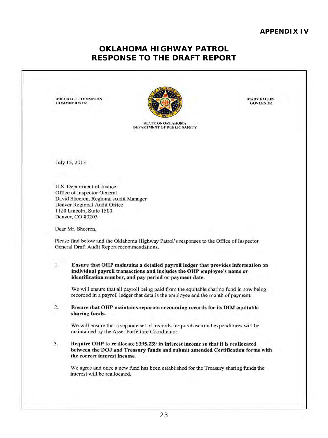#### **APPENDIX IV**

# **RESPONSE TO THE DRAFT REPORT OKLAHOMA HIGHWAY PATROL**

MICHAEL C. THOMPSON<br>COMMISSIONER

<span id="page-26-1"></span><span id="page-26-0"></span>

STATE OF OKLAHOMA DEPARTMENT OF PUBLIC SAFETY

July 15,20l3

U.S. Department of Justice Office of Inspector General David Sheeren, Regional Audit Manager Denver Regional Audit Office 1120 Lincoln, Suite 1500 Denver, CO 80203

Dear Mr. Sheeren,

Please find below and the Oklahoma Highway Patrol's responses to the Office of Inspector General Draft Audit Report recommendations.

I. Ensure tbat OHP maintains a detailed payroll ledger that provides inrormation on individual payroll transactions and includes the OHP employee's name or identification number, and pay period or payment date.

We will ensure that all payroll being paid from the equitable sharing fund is now being recorded in a payroll ledger that details the employee and the month of payment.

2. Ensure that OHP maintains separate accounting records for its DOJ equitable sharing funds.

We will ensure that a separate set of records for purchases and expenditures will be maintained by the Asset Forreiture Coordinator.

3. Require OHP to reallocate \$395,239 in interest income so that it is reallocated between the DOJ and Treasury funds and submit amended Certification forms with the correct interest income.

We agree and once a new fund has been established for the Treasury sharing funds the interest will be reallocated.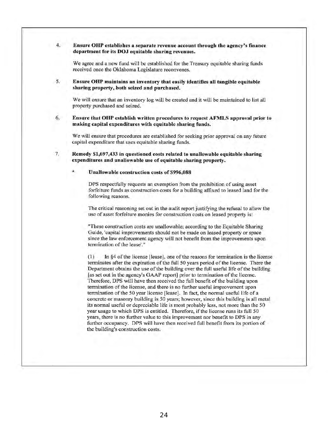#### 4. Ensure OHP establishes a separate revenue account through the agency's finance department for its DOJ equitable sharing revenues.

We agree and a new fund will be established for the Treasury equitable sharing funds received once the Oklahoma Legislature reconvenes.

5. Ensure OHP maintains an inventory that easily identifies all tangible equitable sharing property, both seized and purchased.

We will ensure that an inventory log will be created and it will be maintained to list all property purchased and seized.

6. Ensure that OHP establish written procedures to request AFMLS approval prior to making capital expenditures with equitable sharing funds.

We will ensure that procedures are established for seeking prior approval on any future capital expenditure that uses equitable sharing funds.

7. Remedy \$1,697,433 in questioned costs related to unallowable equitable sharing expenditures and unallowable use of equitable sharing propcrty.

#### Unallowable construction costs of \$996,088

DPS respectfully requests an exemption from the prohibition of using asset forfeiture funds as construction costs for a building affixed to leased land for the following reasons.

The critical reasoning set out in the audit report justifying the refusal to allow the usc of asset forfeiture monies for construction costs on leased property is:

"These construction costs are unallowable; according to the Equitable Sharing Guide, 'capital improvements should not be made on leased property or space since the law enforcement agency will not benefit from the improvements upon termination of the lease'."

 $(1)$  In §4 of the license [lease], one of the reasons for termination is the license terminates after the expiration of the full 50 years period of the license. There the Department obtains the use of the building over the full useful life of the building [as set out in the agency's GAAP report] prior to termination of the license. Therefore. DPS will have then received the full benefit of the building upon termination of the license, and there is no further useful improvement upon termination of the 50 year license [lease]. In fact, the normal useful life of a concrete or masonry building is 50 years; however, since this building is all metal its normal useful or depreciable life is most probably less, not more than the 50 year usage to which DPS is entitled. Therefore. if the license runs its full 50 years, there is no further value to this improvement nor benefit to DPS in any further occupancy. DPS will have then received full benefit from its portion of the building's construction costs.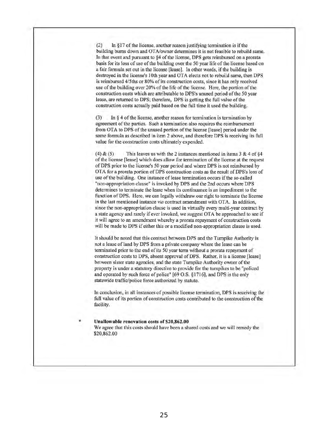$(2)$  In §17 of the license, another reason justifying termination is if the building bums down and OTAlowner determines it is not feasible to rebuild same. In that event and pursuant to §4 of the license, DPS gcts reimbursed on a prorata basis for its loss of use of the building over the 50 year life of the license based on a fair formula set out in the license [lease]. In other words, if the building is destroyed in the license's 10th year and OT A elects not to rebuild same, then DPS is reimbursed *415ths* or 80% of its construction costs, since it has only received use of the building over 20% of the life of the license. Here, the portion of the construction costs which are attributable to DPS's unused period of the 50 year lease, are returned to DPS; therefore, DPS is getting the full value of the construction costs actually paid based on the full time it used the building.

(3) In  $\S$  4 of the license, another reason for termination is termination by agreement of the parties. Such a termination also requires the reimbursement from OrA to DPS of the unused portion of the license [[ease] period under the same formula as described in item 2 above, and therefore DPS is receiving its full value for the construction costs ultimately expended.

(4)  $& (5)$  This leaves us with the 2 instances mentioned in items 3  $& 4$  of  $& 4$ of the license [Ieasel which does allow for tenninalion of the license al the request of OPS prior to the license's 50 year period and where DPS is not reimbursed by OTA for a prorata portion of DPS construction costs as the result of DPS's loss of use of the building. One instance of lease tennination occurs if the so·called "non-appropriation clause" is invoked by DPS and the 2nd occurs where OPS determines to terminate the lease when its continuance is an impediment to the function of DPS. Here, we can legally withdraw our right 10 terminate the license in the last mentioned instance via contract amendment with OTA. In addition, since thc non-appropriation clause is used in virtually every multi-year contract by a state agency and rarely if ever invoked, we suggest OTA be approached to see if it will agree to an amendment whereby a prorata repayment of construction costs will be made to DPS if either this or a modified non-appropriation clause is used.

It should be noted that this contract between DPS and the Turnpike Authority is not a lease of land by DPS from a private company where the [ease can be terminated prior to the end of its 50 year term without a prorata repayment of construction costs to DPS, absent approval of DPS. Rather, it is a license [lease] between sister state agencies, and the state Turnpike Authority owner of the property is under a statutory directive to provide for the turnpikes to be "policed and operated by such force of police" [69 O.S. § 1716], and OPS is the only statewide traffic/police forec authorizcd by statute.

In conclusion, in all instances of possiblc license termination, DPS is receiving the full valuc of its portion of construction costs contributed to the construction of the facility.

#### Unallowable renovation costs of \$20,862.00

We agree that this costs should havc been a shared costs and we will remedy the \$20,862.00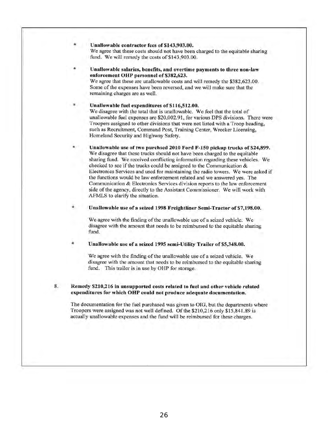Unallowable contractor fees of \$143,903.00. We agree that these costs should not have been charged to the equitable sharing fund. We will remedy the costs of \$143,903.00.

Unallowable salaries, benefits, and overtime payments to three non-law enforcement OHP personnel of \$382,623. We agree that these are unallowable costs and will remedy the \$382,623.00. Some of the expenses have been reversed, and we will make sure that the remaining charges are as well.

Unallowable fuel expenditures of \$116,512.00. We disagree with the total that is unallowable. We feel that the total of unallowable fuel expenses arc \$20.002.91, for various DrS divisions. There were Troopers assigned to other divisions that were not listed with a Troop heading, such as Recruitment, Command Post, Training Center, Wrecker Licensing, Homeland Security and Highway Safety.

Unallowable use of two purchsed 2010 Ford F-150 pickup trucks of \$24,899. We disagree that these trucks should not have been charged to the equitable sharing fund. We received conflicting information regarding these vehicles. We checked to see if the trucks could be assigned to the Communication  $&$ Electronics Services and used for maintaining the radio towers. We were asked if the functions would be law enforcement related and we answered yes. The Communication & Electronics Services division reports to the law enforcement side of the agency, directly to the Assistant Commissioner. We will work with AfMLS to clarifY the situation.

Unallowable use of a seized 1998 Freightliner Semi-Tractor of \$7,198.00.

We agree with the finding of the unallowable use of a seized vehicle. We disagree with the amount that needs to be reimbursed to the equitable sharing fund.

• Unallowable use of a seized 1995 semi-Utility Trailer of \$5,348.00.

We agree with the finding of the unallowable use of a seized vehicle. We disagree with the amount that needs to be reimbursed to the equitable sharing fund. This trailer is in use by OHP for storage.

8. Remedy \$210.216 in unsupported costs related to fuel and other vehicle related expenditures for which OHP could not produce adequate documentation.

The documentation for the fuel purchased was given to DIG, but the departments where Troopers were assigned was not well defined. Of the \$210,216 only \$15,841.89 is actually unallowable expenses and the fund will be reimbursed for these charges.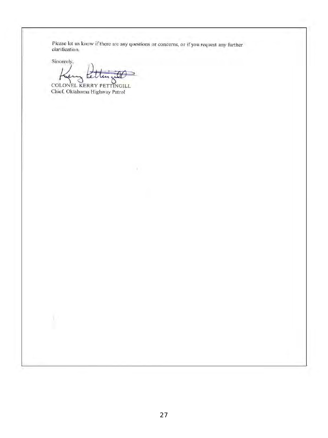Please let us know if there are any questions or concerns, or if you request any further claritication.

x

 $Sineerely,$ tettin; DP COLONEL KERRY PETTINGILL

Chief, Oklahoma Highway Patrol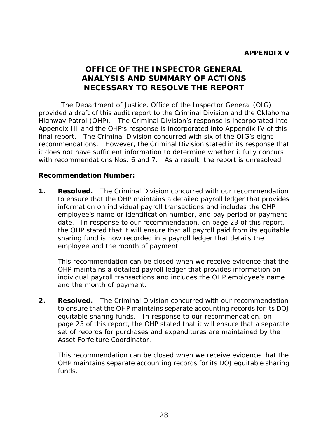# **OFFICE OF THE INSPECTOR GENERAL ANALYSIS AND SUMMARY OF ACTIONS NECESSARY TO RESOLVE THE REPORT**

<span id="page-31-0"></span> Highway Patrol (OHP). The Criminal Division's response is incorporated into final report. The Criminal Division concurred with six of the OIG's eight recommendations. However, the Criminal Division stated in its response that with recommendations Nos. 6 and 7. As a result, the report is unresolved. The Department of Justice, Office of the Inspector General (OIG) provided a draft of this audit report to the Criminal Division and the Oklahoma Appendix III and the OHP's response is incorporated into Appendix IV of this it does not have sufficient information to determine whether it fully concurs

### **Recommendation Number:**

**1.** Resolved. The Criminal Division concurred with our recommendation information on individual payroll transactions and includes the OHP date. In response to our recommendation, on page 23 of this report, sharing fund is now recorded in a payroll ledger that details the to ensure that the OHP maintains a detailed payroll ledger that provides employee's name or identification number, and pay period or payment the OHP stated that it will ensure that all payroll paid from its equitable employee and the month of payment.

 individual payroll transactions and includes the OHP employee's name and the month of payment. This recommendation can be closed when we receive evidence that the OHP maintains a detailed payroll ledger that provides information on

 equitable sharing funds. In response to our recommendation, on page 23 of this report, the OHP stated that it will ensure that a separate **2. Resolved.** The Criminal Division concurred with our recommendation to ensure that the OHP maintains separate accounting records for its DOJ set of records for purchases and expenditures are maintained by the Asset Forfeiture Coordinator.

This recommendation can be closed when we receive evidence that the OHP maintains separate accounting records for its DOJ equitable sharing funds.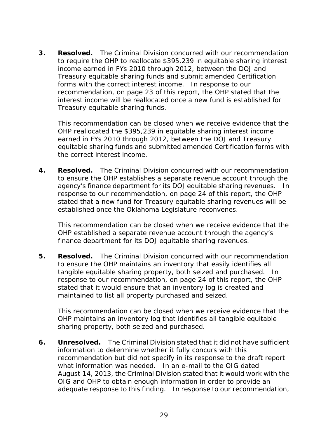income earned in FYs 2010 through 2012, between the DOJ and forms with the correct interest income. In response to our **3. Resolved.** The Criminal Division concurred with our recommendation to require the OHP to reallocate \$395,239 in equitable sharing interest Treasury equitable sharing funds and submit amended Certification recommendation, on page 23 of this report, the OHP stated that the interest income will be reallocated once a new fund is established for Treasury equitable sharing funds.

This recommendation can be closed when we receive evidence that the OHP reallocated the \$395,239 in equitable sharing interest income earned in FYs 2010 through 2012, between the DOJ and Treasury equitable sharing funds and submitted amended Certification forms with the correct interest income.

 agency's finance department for its DOJ equitable sharing revenues. In response to our recommendation, on page 24 of this report, the OHP stated that a new fund for Treasury equitable sharing revenues will be **4. Resolved.** The Criminal Division concurred with our recommendation to ensure the OHP establishes a separate revenue account through the established once the Oklahoma Legislature reconvenes.

This recommendation can be closed when we receive evidence that the OHP established a separate revenue account through the agency's finance department for its DOJ equitable sharing revenues.

 tangible equitable sharing property, both seized and purchased. In **5. Resolved.** The Criminal Division concurred with our recommendation to ensure the OHP maintains an inventory that easily identifies all response to our recommendation, on page 24 of this report, the OHP stated that it would ensure that an inventory log is created and maintained to list all property purchased and seized.

This recommendation can be closed when we receive evidence that the OHP maintains an inventory log that identifies all tangible equitable sharing property, both seized and purchased.

**6.** Unresolved. The Criminal Division stated that it did not have sufficient what information was needed. In an e-mail to the OIG dated adequate response to this finding. In response to our recommendation, information to determine whether it fully concurs with this recommendation but did not specify in its response to the draft report August 14, 2013, the Criminal Division stated that it would work with the OIG and OHP to obtain enough information in order to provide an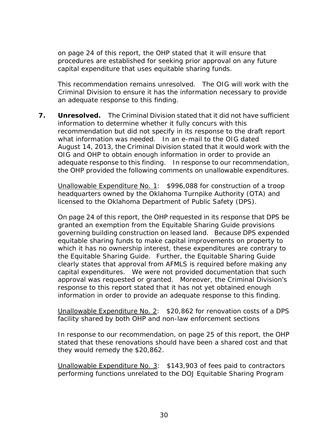capital expenditure that uses equitable sharing funds. on page 24 of this report, the OHP stated that it will ensure that procedures are established for seeking prior approval on any future

 Criminal Division to ensure it has the information necessary to provide This recommendation remains unresolved. The OIG will work with the an adequate response to this finding.

**7.** Unresolved. The Criminal Division stated that it did not have sufficient what information was needed. In an e-mail to the OIG dated adequate response to this finding. In response to our recommendation, the OHP provided the following comments on unallowable expenditures. information to determine whether it fully concurs with this recommendation but did not specify in its response to the draft report August 14, 2013, the Criminal Division stated that it would work with the OIG and OHP to obtain enough information in order to provide an

 *licensed to the Oklahoma Department of Public Safety (DPS). Unallowable Expenditure No. 1: \$996,088 for construction of a troop headquarters owned by the Oklahoma Turnpike Authority (OTA) and* 

 governing building construction on leased land. Because DPS expended the Equitable Sharing Guide. Further, the Equitable Sharing Guide capital expenditures. We were not provided documentation that such approval was requested or granted. Moreover, the Criminal Division's On page 24 of this report, the OHP requested in its response that DPS be granted an exemption from the Equitable Sharing Guide provisions equitable sharing funds to make capital improvements on property to which it has no ownership interest, these expenditures are contrary to clearly states that approval from AFMLS is required before making any response to this report stated that it has not yet obtained enough information in order to provide an adequate response to this finding.

### *Unallowable Expenditure No. 2: \$20,862 for renovation costs of a DPS facility shared by both OHP and non-law enforcement sections*

In response to our recommendation, on page 25 of this report, the OHP stated that these renovations should have been a shared cost and that they would remedy the \$20,862.

 *Unallowable Expenditure No. 3: \$143,903 of fees paid to contractors performing functions unrelated to the DOJ Equitable Sharing Program*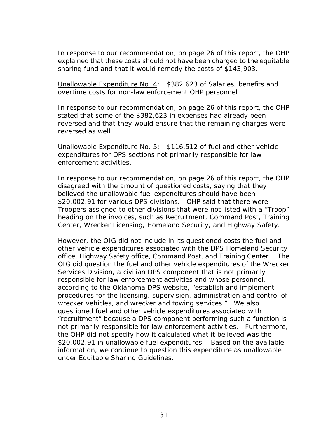In response to our recommendation, on page 26 of this report, the OHP explained that these costs should not have been charged to the equitable sharing fund and that it would remedy the costs of \$143,903.

*Unallowable Expenditure No. 4: \$382,623 of Salaries, benefits and overtime costs for non-law enforcement OHP personnel* 

In response to our recommendation, on page 26 of this report, the OHP stated that some of the \$382,623 in expenses had already been reversed and that they would ensure that the remaining charges were reversed as well.

 *Unallowable Expenditure No. 5: \$116,512 of fuel and other vehicle expenditures for DPS sections not primarily responsible for law enforcement activities.* 

In response to our recommendation, on page 26 of this report, the OHP disagreed with the amount of questioned costs, saying that they believed the unallowable fuel expenditures should have been \$20,002.91 for various DPS divisions. OHP said that there were Troopers assigned to other divisions that were not listed with a "Troop" heading on the invoices, such as Recruitment, Command Post, Training Center, Wrecker Licensing, Homeland Security, and Highway Safety.

 However, the OIG did not include in its questioned costs the fuel and OIG did question the fuel and other vehicle expenditures of the Wrecker wrecker vehicles, and wrecker and towing services." We also \$20,002.91 in unallowable fuel expenditures. Based on the available other vehicle expenditures associated with the DPS Homeland Security office, Highway Safety office, Command Post, and Training Center. The Services Division, a civilian DPS component that is not primarily responsible for law enforcement activities and whose personnel, according to the Oklahoma DPS website, "establish and implement procedures for the licensing, supervision, administration and control of questioned fuel and other vehicle expenditures associated with "recruitment" because a DPS component performing such a function is not primarily responsible for law enforcement activities. Furthermore, the OHP did not specify how it calculated what it believed was the information, we continue to question this expenditure as unallowable under Equitable Sharing Guidelines.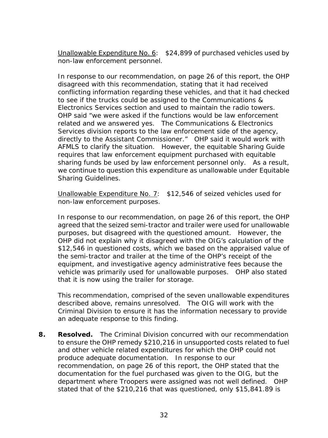*Unallowable Expenditure No. 6: \$24,899 of purchased vehicles used by non-law enforcement personnel.* 

 related and we answered yes. The Communications & Electronics directly to the Assistant Commissioner." OHP said it would work with AFMLS to clarify the situation. However, the equitable Sharing Guide In response to our recommendation, on page 26 of this report, the OHP disagreed with this recommendation, stating that it had received conflicting information regarding these vehicles, and that it had checked to see if the trucks could be assigned to the Communications & Electronics Services section and used to maintain the radio towers. OHP said "we were asked if the functions would be law enforcement Services division reports to the law enforcement side of the agency, requires that law enforcement equipment purchased with equitable sharing funds be used by law enforcement personnel only. As a result, we continue to question this expenditure as unallowable under Equitable Sharing Guidelines.

### *Unallowable Expenditure No. 7: \$12,546 of seized vehicles used for non-law enforcement purposes.*

 purposes, but disagreed with the questioned amount. However, the the semi-tractor and trailer at the time of the OHP's receipt of the vehicle was primarily used for unallowable purposes. OHP also stated In response to our recommendation, on page 26 of this report, the OHP agreed that the seized semi-tractor and trailer were used for unallowable OHP did not explain why it disagreed with the OIG's calculation of the \$12,546 in questioned costs, which we based on the appraised value of equipment, and investigative agency administrative fees because the that it is now using the trailer for storage.

 described above, remains unresolved. The OIG will work with the Criminal Division to ensure it has the information necessary to provide This recommendation, comprised of the seven unallowable expenditures an adequate response to this finding.

 produce adequate documentation. In response to our documentation for the fuel purchased was given to the OIG, but the department where Troopers were assigned was not well defined. OHP **8. Resolved.** The Criminal Division concurred with our recommendation to ensure the OHP remedy \$210,216 in unsupported costs related to fuel and other vehicle related expenditures for which the OHP could not recommendation, on page 26 of this report, the OHP stated that the stated that of the \$210,216 that was questioned, only \$15,841.89 is